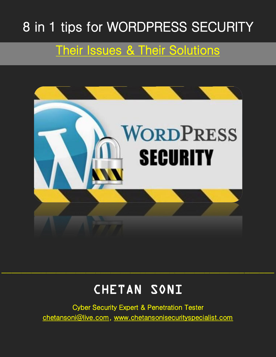# 8 in 1 tips for WORDPRESS SECURITY

### Their Issues & Their Solutions



## CHETAN SONI

 $\mathcal{L}_\text{max}$  and the contract of the contract of the contract of the contract of the contract of the contract of the contract of the contract of the contract of the contract of the contract of the contract of the contrac

Cyber Security Expert & Penetration Tester chetansoni@live.com, www.chetansonisecurityspecialist.com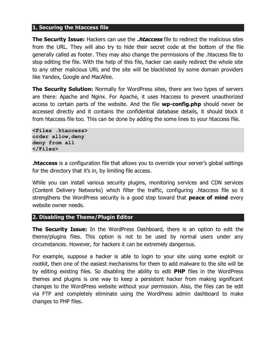#### **1. Securing the htaccess file**

**The Security Issue:** Hackers can use the **.htaccess** file to redirect the malicious sites from the URL. They will also try to hide their secret code at the bottom of the file generally called as footer. They may also change the permissions of the .htaccess file to stop editing the file. With the help of this file, hacker can easily redirect the whole site to any other malicious URL and the site will be blacklisted by some domain providers like Yandex, Google and MacAfee.

**The Security Solution:** Normally for WordPress sites, there are two types of servers are there: Apache and Nginx. For Apache, it uses htaccess to prevent unauthorized access to certain parts of the website. And the file **wp-config.php** should never be accessed directly and it contains the confidential database details, it should block it from htaccess file too. This can be done by adding the some lines to your htaccess file.

**<Files .htaccess> order allow,deny deny from all </Files>** 

**.htaccess** is a configuration file that allows you to override your server's global settings for the directory that it's in, by limiting file access.

While you can install various security plugins, monitoring services and CDN services (Content Delivery Networks) which filter the traffic, configuring .htaccess file so it strengthens the WordPress security is a good step toward that **peace of mind** every website owner needs.

#### **2. Disabling the Theme/Plugin Editor**

**The Security Issue:** In the WordPress Dashboard, there is an option to edit the theme/plugins files. This option is not to be used by normal users under any circumstances. However, for hackers it can be extremely dangerous.

For example, suppose a hacker is able to login to your site using some exploit or rootkit, then one of the easiest mechanisms for them to add malware to the site will be by editing existing files. So disabling the ability to edit **PHP** files in the WordPress themes and plugins is one way to keep a persistent hacker from making significant changes to the WordPress website without your permission. Also, the files can be edit via FTP and completely eliminate using the WordPress admin dashboard to make changes to PHP files.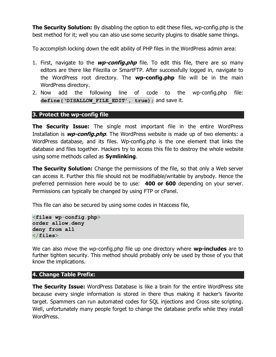**The Security Solution:** By disabling the option to edit these files, wp-config.php is the best method for it; well you can also use some security plugins to disable same things.

To accomplish locking down the edit ability of PHP files in the WordPress admin area:

- 1. First, navigate to the **wp-config.php** file. To edit this file, there are so many editors are there like Filezilla or SmartFTP. After successfully logged in, navigate to the WordPress root directory. The **wp-config.php** file will be in the main WordPress directory.
- 2. Now add the following line of code to the wp-config.php file: **define('DISALLOW\_FILE\_EDIT', true);** and save it.

#### **3. Protect the wp-config file**

**The Security Issue:** The single most important file in the entire WordPress Installation is **wp-config.php**. The WordPress website is made up of two elements: a WordPress database, and its files. Wp-config.php is the one element that links the database and files together. Hackers try to access this file to destroy the whole website using some methods called as **Symlinking**.

**The Security Solution:** Change the permissions of the file, so that only a Web server can access it. Further this file should not be modifiable/writable by anybody. Hence the preferred permission here would be to use: **400 or 600** depending on your server. Permissions can typically be changed by using FTP or cPanel.

This file can also be secured by using some codes in htaccess file,

```
<files wp-config.php>
order allow,deny
deny from all
</files>
```
We can also move the wp-config.php file up one directory where **wp-includes** are to further tighten security. This method should probably only be used by those of you that know the implications.

#### **4. Change Table Prefix:**

**The Security Issue:** WordPress Database is like a brain for the entire WordPress site because every single information is stored in there thus making it hacker's favorite target. Spammers can run automated codes for SQL injections and Cross site scripting. Well, unfortunately many people forget to change the database prefix while they install WordPress.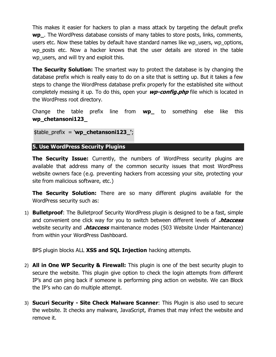This makes it easier for hackers to plan a mass attack by targeting the default prefix **wp\_**. The WordPress database consists of many tables to store posts, links, comments, users etc. Now these tables by default have standard names like wp\_users, wp\_options, wp\_posts etc. Now a hacker knows that the user details are stored in the table wp users, and will try and exploit this.

**The Security Solution:** The smartest way to protect the database is by changing the database prefix which is really easy to do on a site that is setting up. But it takes a few steps to change the WordPress database prefix properly for the established site without completely messing it up. To do this, open your **wp-config.php** file which is located in the WordPress root directory.

Change the table prefix line from **wp\_** to something else like this **wp\_chetansoni123\_**

```
$table_prefix = 'wp_chetansoni123_';
```
**5. Use WordPress Security Plugins**

**The Security Issue:** Currently, the numbers of WordPress security plugins are available that address many of the common security issues that most WordPress website owners face (e.g. preventing hackers from accessing your site, protecting your site from malicious software, etc.)

**The Security Solution:** There are so many different plugins available for the WordPress security such as:

1) **Bulletproof**: The Bulletproof Security WordPress plugin is designed to be a fast, simple and convenient one click way for you to switch between different levels of **.htaccess** website security and **.htaccess** maintenance modes (503 Website Under Maintenance) from within your WordPress Dashboard.

BPS plugin blocks ALL **XSS and SQL Injection** hacking attempts.

- 2) **All in One WP Security & Firewall:** This plugin is one of the best security plugin to secure the website. This plugin give option to check the login attempts from different IP's and can ping back if someone is performing ping action on website. We can Block the IP's who can do multiple attempt.
- 3) **Sucuri Security - Site Check Malware Scanner**: This Plugin is also used to secure the website. It checks any malware, JavaScript, iframes that may infect the website and remove it.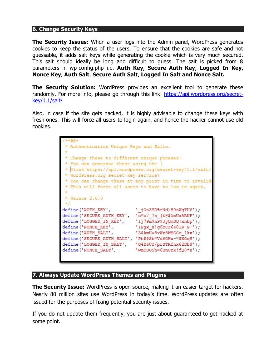#### **6. Change Security Keys**

**The Security Issues:** When a user logs into the Admin panel, WordPress generates cookies to keep the status of the users. To ensure that the cookies are safe and not guessable, it adds salt keys while generating the cookie which is very much secured. This salt should ideally be long and difficult to guess. The salt is picked from 8 parameters in wp-config.php i.e. **Auth Key**, **Secure Auth Key**, **Logged In Key**, **Nonce Key**, **Auth Salt**, **Secure Auth Salt**, **Logged In Salt and Nonce Salt.**

**The Security Solution:** WordPress provides an excellent tool to generate these randomly. For more info, please go through this link: [https://api.wordpress.org/secret](https://api.wordpress.org/secret-key/1.1/salt/)[key/1.1/salt/](https://api.wordpress.org/secret-key/1.1/salt/)

Also, in case if the site gets hacked, it is highly advisable to change these keys with fresh ones. This will force all users to login again, and hence the hacker cannot use old cookies.

| Authentication Unique Keys and Salts.<br>Change these to different unique phrases!<br>You can generate these using the {<br>@link https://api.wordpress.org/secret-key/1.1/salt/<br>* WordPress.org secret-key service}<br>* You can change these at any point in time to invalid<br>* This will force all users to have to log in again. |                                                                                                                                                                                                                                           |
|-------------------------------------------------------------------------------------------------------------------------------------------------------------------------------------------------------------------------------------------------------------------------------------------------------------------------------------------|-------------------------------------------------------------------------------------------------------------------------------------------------------------------------------------------------------------------------------------------|
| $*$ @since $2.6.0$                                                                                                                                                                                                                                                                                                                        |                                                                                                                                                                                                                                           |
| define ('AUTH KEY',<br>define ('SECURE AUTH KEY',<br>define ('LOGGED IN KEY',<br>define ('NONCE KEY',<br>define ('AUTH SALT',<br>define ('SECURE AUTH SALT',<br>define ('LOGGED IN SALT',<br>define ('NONCE SALT',                                                                                                                        | ' jOnZYD%rNd)H0sWgTU6');<br>$'c = c7 7x (6055mUaARNF');$<br>'Ij7Pm\$nP\$JyQmSQ!xnbp');<br>'IPgx $x!g0bCZ648IR G-')$ ;<br>'Z\$AmUw5vWz5WSGGc 1kx');<br>'Pb\$#Sb=Vd8OHx-=\$XOqS');<br>'Q4D6UT/prSTRfnx62Db@');<br>'wmTBOSh=6BnOrX!fQ\$*n'); |

#### **7. Always Update WordPress Themes and Plugins**

**The Security Issue:** WordPress is open source, making it an easier target for hackers. Nearly 80 million sites use WordPress in today's time. WordPress updates are often issued for the purposes of fixing potential security issues.

If you do not update them frequently, you are just about guaranteed to get hacked at some point.